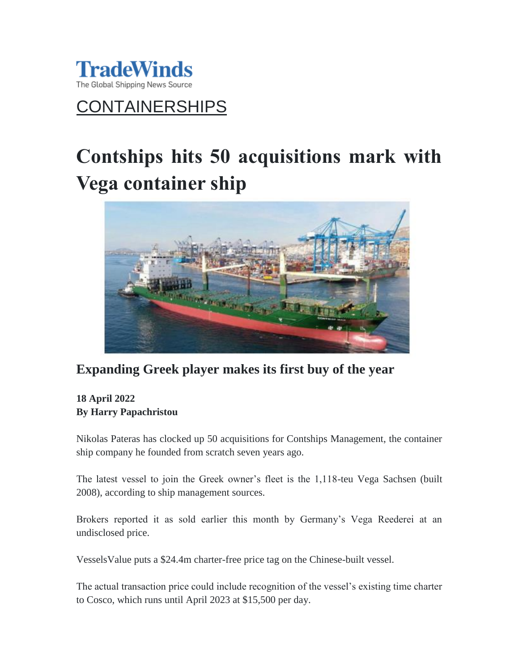

## CONTAINERSHIPS

# **Contships hits 50 acquisitions mark with Vega container ship**



## **Expanding Greek player makes its first buy of the year**

### **18 April 2022 By Harry Papachristou**

Nikolas Pateras has clocked up 50 acquisitions for Contships Management, the container ship company he founded from scratch seven years ago.

The latest vessel to join the Greek owner's fleet is the 1,118-teu Vega Sachsen (built 2008), according to ship management sources.

Brokers reported it as sold earlier this month by Germany's Vega Reederei at an undisclosed price.

VesselsValue puts a \$24.4m charter-free price tag on the Chinese-built vessel.

The actual transaction price could include recognition of the vessel's existing time charter to Cosco, which runs until April 2023 at \$15,500 per day.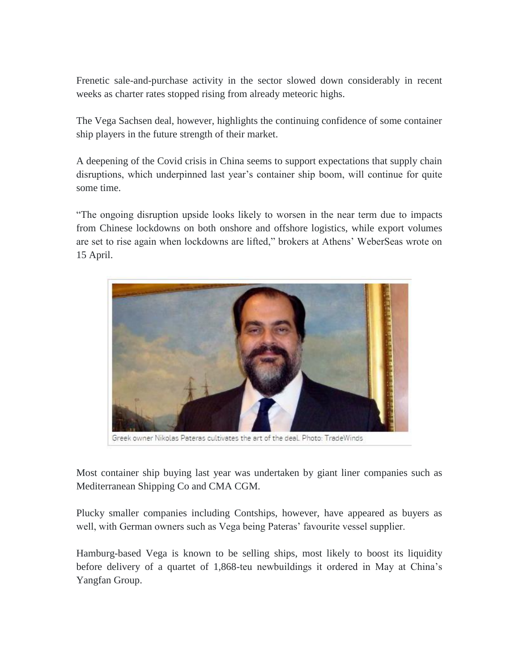Frenetic sale-and-purchase activity in the sector slowed down considerably in recent weeks as charter rates stopped rising from already meteoric highs.

The Vega Sachsen deal, however, highlights the continuing confidence of some container ship players in the future strength of their market.

A deepening of the Covid crisis in China seems to support expectations that supply chain disruptions, which underpinned last year's container ship boom, will continue for quite some time.

"The ongoing disruption upside looks likely to worsen in the near term due to impacts from Chinese lockdowns on both onshore and offshore logistics, while export volumes are set to rise again when lockdowns are lifted," brokers at Athens' WeberSeas wrote on 15 April.



Greek owner Nikolas Pateras cultivates the art of the deal. Photo: TradeWinds

Most container ship buying last year was undertaken by giant liner companies such as Mediterranean Shipping Co and CMA CGM.

Plucky smaller companies including Contships, however, have appeared as buyers as well, with German owners such as Vega being Pateras' favourite vessel supplier.

Hamburg-based Vega is known to be selling ships, most likely to boost its liquidity before delivery of a quartet of 1,868-teu newbuildings it ordered in May at China's Yangfan Group.